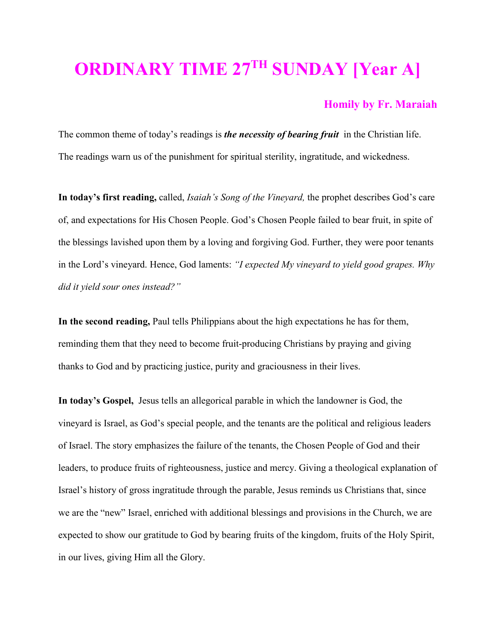## **ORDINARY TIME 27TH SUNDAY [Year A]**

## **Homily by Fr. Maraiah**

The common theme of today's readings is *the necessity of bearing fruit* in the Christian life. The readings warn us of the punishment for spiritual sterility, ingratitude, and wickedness.

**In today's first reading,** called, *Isaiah's Song of the Vineyard,* the prophet describes God's care of, and expectations for His Chosen People. God's Chosen People failed to bear fruit, in spite of the blessings lavished upon them by a loving and forgiving God. Further, they were poor tenants in the Lord's vineyard. Hence, God laments: *"I expected My vineyard to yield good grapes. Why did it yield sour ones instead?"* 

**In the second reading,** Paul tells Philippians about the high expectations he has for them, reminding them that they need to become fruit-producing Christians by praying and giving thanks to God and by practicing justice, purity and graciousness in their lives.

**In today's Gospel,** Jesus tells an allegorical parable in which the landowner is God, the vineyard is Israel, as God's special people, and the tenants are the political and religious leaders of Israel. The story emphasizes the failure of the tenants, the Chosen People of God and their leaders, to produce fruits of righteousness, justice and mercy. Giving a theological explanation of Israel's history of gross ingratitude through the parable, Jesus reminds us Christians that, since we are the "new" Israel, enriched with additional blessings and provisions in the Church, we are expected to show our gratitude to God by bearing fruits of the kingdom, fruits of the Holy Spirit, in our lives, giving Him all the Glory.